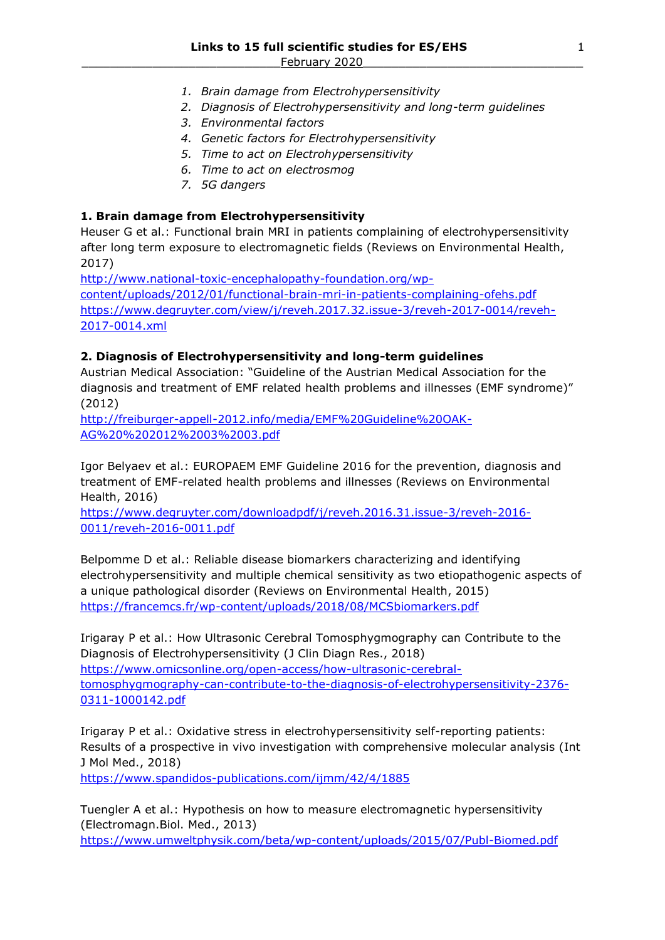- *1. Brain damage from Electrohypersensitivity*
- *2. Diagnosis of Electrohypersensitivity and long-term guidelines*
- *3. Environmental factors*
- *4. Genetic factors for Electrohypersensitivity*
- *5. Time to act on Electrohypersensitivity*
- *6. Time to act on electrosmog*
- *7. 5G dangers*

## **1. Brain damage from Electrohypersensitivity**

Heuser G et al.: Functional brain MRI in patients complaining of electrohypersensitivity after long term exposure to electromagnetic fields (Reviews on Environmental Health, 2017)

[http://www.national-toxic-encephalopathy-foundation.org/wp](http://www.national-toxic-encephalopathy-foundation.org/wp-content/uploads/2012/01/functional-brain-mri-in-patients-complaining-ofehs.pdf)[content/uploads/2012/01/functional-brain-mri-in-patients-complaining-ofehs.pdf](http://www.national-toxic-encephalopathy-foundation.org/wp-content/uploads/2012/01/functional-brain-mri-in-patients-complaining-ofehs.pdf) [https://www.degruyter.com/view/j/reveh.2017.32.issue-3/reveh-2017-0014/reveh-](https://www.degruyter.com/view/j/reveh.2017.32.issue-3/reveh-2017-0014/reveh-2017-0014.xml)[2017-0014.xml](https://www.degruyter.com/view/j/reveh.2017.32.issue-3/reveh-2017-0014/reveh-2017-0014.xml)

# **2. Diagnosis of Electrohypersensitivity and long-term guidelines**

Austrian Medical Association: "Guideline of the Austrian Medical Association for the diagnosis and treatment of EMF related health problems and illnesses (EMF syndrome)" (2012)

[http://freiburger-appell-2012.info/media/EMF%20Guideline%20OAK-](http://freiburger-appell-2012.info/media/EMF%20Guideline%20OAK-AG%20%202012%2003%2003.pdf)[AG%20%202012%2003%2003.pdf](http://freiburger-appell-2012.info/media/EMF%20Guideline%20OAK-AG%20%202012%2003%2003.pdf)

Igor Belyaev et al.: EUROPAEM EMF Guideline 2016 for the prevention, diagnosis and treatment of EMF-related health problems and illnesses (Reviews on Environmental Health, 2016)

[https://www.degruyter.com/downloadpdf/j/reveh.2016.31.issue-3/reveh-2016-](https://www.degruyter.com/downloadpdf/j/reveh.2016.31.issue-3/reveh-2016-0011/reveh-2016-0011.pdf) [0011/reveh-2016-0011.pdf](https://www.degruyter.com/downloadpdf/j/reveh.2016.31.issue-3/reveh-2016-0011/reveh-2016-0011.pdf)

Belpomme D et al.: Reliable disease biomarkers characterizing and identifying electrohypersensitivity and multiple chemical sensitivity as two etiopathogenic aspects of a unique pathological disorder (Reviews on Environmental Health, 2015) <https://francemcs.fr/wp-content/uploads/2018/08/MCSbiomarkers.pdf>

Irigaray P et al.: How Ultrasonic Cerebral Tomosphygmography can Contribute to the Diagnosis of Electrohypersensitivity (J Clin Diagn Res., 2018) [https://www.omicsonline.org/open-access/how-ultrasonic-cerebral](https://www.omicsonline.org/open-access/how-ultrasonic-cerebral-tomosphygmography-can-contribute-to-the-diagnosis-of-electrohypersensitivity-2376-0311-1000142.pdf)[tomosphygmography-can-contribute-to-the-diagnosis-of-electrohypersensitivity-2376-](https://www.omicsonline.org/open-access/how-ultrasonic-cerebral-tomosphygmography-can-contribute-to-the-diagnosis-of-electrohypersensitivity-2376-0311-1000142.pdf) [0311-1000142.pdf](https://www.omicsonline.org/open-access/how-ultrasonic-cerebral-tomosphygmography-can-contribute-to-the-diagnosis-of-electrohypersensitivity-2376-0311-1000142.pdf)

Irigaray P et al.: Oxidative stress in electrohypersensitivity self-reporting patients: Results of a prospective in vivo investigation with comprehensive molecular analysis (Int J Mol Med., 2018)

<https://www.spandidos-publications.com/ijmm/42/4/1885>

Tuengler A et al.: Hypothesis on how to measure electromagnetic hypersensitivity (Electromagn.Biol. Med., 2013)

<https://www.umweltphysik.com/beta/wp-content/uploads/2015/07/Publ-Biomed.pdf>